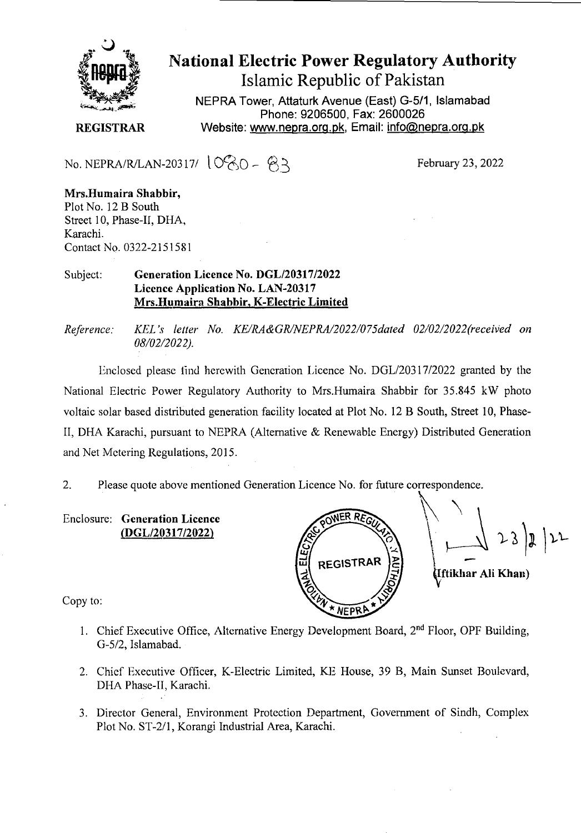

# National Electric Power Regulatory Authority Islamic Republic of Pakistan

**NEPRA Tower, Attaturk Avenue (East) G-5/1, Islamabad Phone: 9206500, Fax: 2600026 REGISTRAR** Website: www.nepra.org.pk, Email: info@nepra.org.pk

No. NEPRA/R/LAN-20317/  $10\%0 - 63$ 

**Mrs.Huniaira Shabbir,**  Plot No. 12 B South Street 10, Phase-Il, DHA, Karachi. Contact No. 0322-2151581

#### Subject: **Generation Licence** No. DGL/20317/2022 **Licence Application No.** LAN-20317 Mrs.Humaira **Shabbir,** K**-Electric Limited**

*Reference: KEL 's letter No. KE/RA&GR/NEPRA/2022/075dated 02/02/2022('recei'ed on 08/02/202 2).* 

Enclosed please find herewith Generation Licence No. DGL/203 17/2022 granted by the National Electric Power Regulatory Authority to Mrs.Humaira Shabbir for 35.845 kW photo voltaic solar based distributed generation facility located at Plot No. 12 B South, Street 10, Phase-II, DHA Karachi, pursuant to NEPRA (Alternative & Renewable Energy) Distributed Generation and Net Metering Regulations, 2015.

2. Please quote above mentioned Generation Licence No. for future correspondence.

Enclosure: **Generation Licence (DGL/20317/2022)** 



Copy to:

- 1. Chief Executive Office, Alternative Energy Development Board,  $2<sup>nd</sup>$  Floor, OPF Building, G-5/2, Islamabad.
- 2. Chief Executive Officer, K-Electric Limited, KE House, 39 B, Main Sunset Boulevard, DHA Phase-II, Karachi.
- 3. Director General, Environment Protection Department, Government of Sindh, Complex Plot No. ST-2/1, Korangi Industrial Area, Karachi.